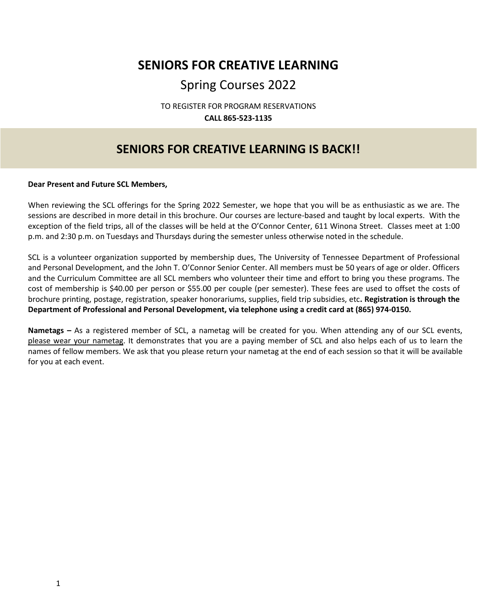## **SENIORS FOR CREATIVE LEARNING**

## Spring Courses 2022

TO REGISTER FOR PROGRAM RESERVATIONS **CALL 865-523-1135**

### **SENIORS FOR CREATIVE LEARNING IS BACK!!**

#### **Dear Present and Future SCL Members,**

When reviewing the SCL offerings for the Spring 2022 Semester, we hope that you will be as enthusiastic as we are. The sessions are described in more detail in this brochure. Our courses are lecture-based and taught by local experts. With the exception of the field trips, all of the classes will be held at the O'Connor Center, 611 Winona Street. Classes meet at 1:00 p.m. and 2:30 p.m. on Tuesdays and Thursdays during the semester unless otherwise noted in the schedule.

SCL is a volunteer organization supported by membership dues, The University of Tennessee Department of Professional and Personal Development, and the John T. O'Connor Senior Center. All members must be 50 years of age or older. Officers and the Curriculum Committee are all SCL members who volunteer their time and effort to bring you these programs. The cost of membership is \$40.00 per person or \$55.00 per couple (per semester). These fees are used to offset the costs of brochure printing, postage, registration, speaker honorariums, supplies, field trip subsidies, etc**. Registration is through the Department of Professional and Personal Development, via telephone using a credit card at (865) 974-0150.**

**Nametags –** As a registered member of SCL, a nametag will be created for you. When attending any of our SCL events, please wear your nametag. It demonstrates that you are a paying member of SCL and also helps each of us to learn the names of fellow members. We ask that you please return your nametag at the end of each session so that it will be available for you at each event.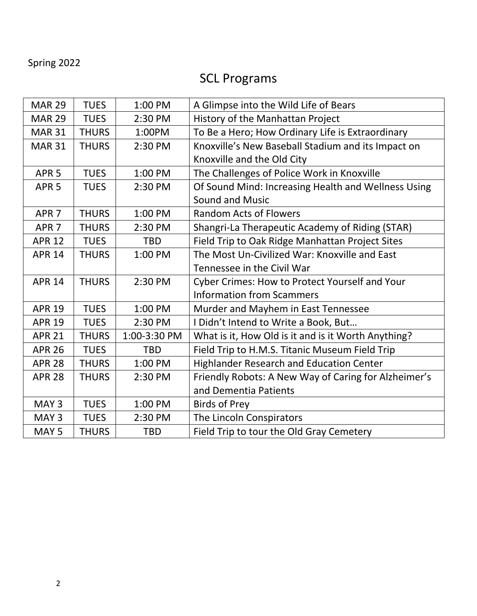## Spring 2022

# SCL Programs

| <b>MAR 29</b>    | <b>TUES</b>  | 1:00 PM      | A Glimpse into the Wild Life of Bears                |
|------------------|--------------|--------------|------------------------------------------------------|
| <b>MAR 29</b>    | <b>TUES</b>  | 2:30 PM      | History of the Manhattan Project                     |
| <b>MAR 31</b>    | <b>THURS</b> | 1:00PM       | To Be a Hero; How Ordinary Life is Extraordinary     |
| <b>MAR 31</b>    | <b>THURS</b> | 2:30 PM      | Knoxville's New Baseball Stadium and its Impact on   |
|                  |              |              | Knoxville and the Old City                           |
| APR <sub>5</sub> | <b>TUES</b>  | 1:00 PM      | The Challenges of Police Work in Knoxville           |
| APR <sub>5</sub> | <b>TUES</b>  | 2:30 PM      | Of Sound Mind: Increasing Health and Wellness Using  |
|                  |              |              | <b>Sound and Music</b>                               |
| APR <sub>7</sub> | <b>THURS</b> | 1:00 PM      | <b>Random Acts of Flowers</b>                        |
| APR <sub>7</sub> | <b>THURS</b> | 2:30 PM      | Shangri-La Therapeutic Academy of Riding (STAR)      |
| <b>APR 12</b>    | <b>TUES</b>  | <b>TBD</b>   | Field Trip to Oak Ridge Manhattan Project Sites      |
| <b>APR 14</b>    | <b>THURS</b> | 1:00 PM      | The Most Un-Civilized War: Knoxville and East        |
|                  |              |              | Tennessee in the Civil War                           |
| <b>APR 14</b>    | <b>THURS</b> | 2:30 PM      | Cyber Crimes: How to Protect Yourself and Your       |
|                  |              |              | <b>Information from Scammers</b>                     |
| <b>APR 19</b>    | <b>TUES</b>  | 1:00 PM      | Murder and Mayhem in East Tennessee                  |
| <b>APR 19</b>    | <b>TUES</b>  | 2:30 PM      | I Didn't Intend to Write a Book, But                 |
| <b>APR 21</b>    | <b>THURS</b> | 1:00-3:30 PM | What is it, How Old is it and is it Worth Anything?  |
| <b>APR 26</b>    | <b>TUES</b>  | <b>TBD</b>   | Field Trip to H.M.S. Titanic Museum Field Trip       |
| <b>APR 28</b>    | <b>THURS</b> | 1:00 PM      | <b>Highlander Research and Education Center</b>      |
| <b>APR 28</b>    | <b>THURS</b> | 2:30 PM      | Friendly Robots: A New Way of Caring for Alzheimer's |
|                  |              |              | and Dementia Patients                                |
| MAY <sub>3</sub> | <b>TUES</b>  | 1:00 PM      | <b>Birds of Prey</b>                                 |
| MAY <sub>3</sub> | <b>TUES</b>  | 2:30 PM      | The Lincoln Conspirators                             |
| MAY <sub>5</sub> | <b>THURS</b> | <b>TBD</b>   | Field Trip to tour the Old Gray Cemetery             |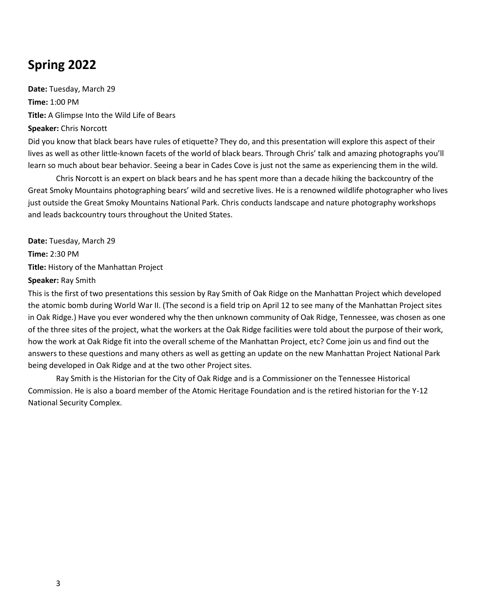# **Spring 2022**

**Date:** Tuesday, March 29 **Time:** 1:00 PM **Title:** A Glimpse Into the Wild Life of Bears **Speaker:** Chris Norcott Did you know that black bears have rules of etiquette? They do, and this presentation will explore this aspect of their

lives as well as other little-known facets of the world of black bears. Through Chris' talk and amazing photographs you'll learn so much about bear behavior. Seeing a bear in Cades Cove is just not the same as experiencing them in the wild.

Chris Norcott is an expert on black bears and he has spent more than a decade hiking the backcountry of the Great Smoky Mountains photographing bears' wild and secretive lives. He is a renowned wildlife photographer who lives just outside the Great Smoky Mountains National Park. Chris conducts landscape and nature photography workshops and leads backcountry tours throughout the United States.

**Date:** Tuesday, March 29 **Time:** 2:30 PM **Title:** History of the Manhattan Project **Speaker:** Ray Smith

This is the first of two presentations this session by Ray Smith of Oak Ridge on the Manhattan Project which developed the atomic bomb during World War II. (The second is a field trip on April 12 to see many of the Manhattan Project sites in Oak Ridge.) Have you ever wondered why the then unknown community of Oak Ridge, Tennessee, was chosen as one of the three sites of the project, what the workers at the Oak Ridge facilities were told about the purpose of their work, how the work at Oak Ridge fit into the overall scheme of the Manhattan Project, etc? Come join us and find out the answers to these questions and many others as well as getting an update on the new Manhattan Project National Park being developed in Oak Ridge and at the two other Project sites.

Ray Smith is the Historian for the City of Oak Ridge and is a Commissioner on the Tennessee Historical Commission. He is also a board member of the Atomic Heritage Foundation and is the retired historian for the Y-12 National Security Complex.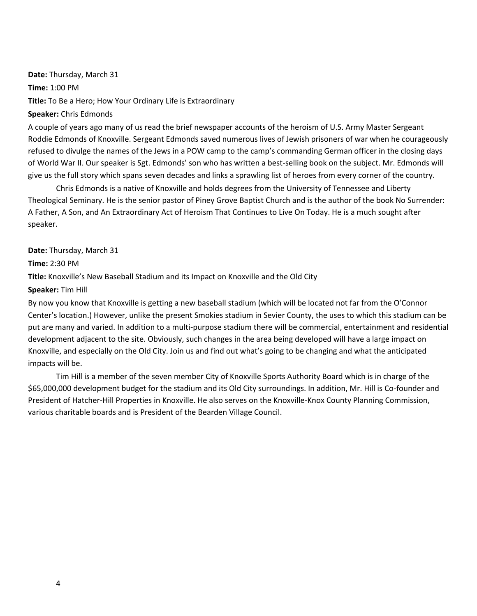**Date:** Thursday, March 31 **Time:** 1:00 PM **Title:** To Be a Hero; How Your Ordinary Life is Extraordinary **Speaker:** Chris Edmonds

A couple of years ago many of us read the brief newspaper accounts of the heroism of U.S. Army Master Sergeant Roddie Edmonds of Knoxville. Sergeant Edmonds saved numerous lives of Jewish prisoners of war when he courageously refused to divulge the names of the Jews in a POW camp to the camp's commanding German officer in the closing days of World War II. Our speaker is Sgt. Edmonds' son who has written a best-selling book on the subject. Mr. Edmonds will give us the full story which spans seven decades and links a sprawling list of heroes from every corner of the country.

Chris Edmonds is a native of Knoxville and holds degrees from the University of Tennessee and Liberty Theological Seminary. He is the senior pastor of Piney Grove Baptist Church and is the author of the book No Surrender: A Father, A Son, and An Extraordinary Act of Heroism That Continues to Live On Today. He is a much sought after speaker.

**Date:** Thursday, March 31

**Time:** 2:30 PM

**Title:** Knoxville's New Baseball Stadium and its Impact on Knoxville and the Old City

**Speaker:** Tim Hill

By now you know that Knoxville is getting a new baseball stadium (which will be located not far from the O'Connor Center's location.) However, unlike the present Smokies stadium in Sevier County, the uses to which this stadium can be put are many and varied. In addition to a multi-purpose stadium there will be commercial, entertainment and residential development adjacent to the site. Obviously, such changes in the area being developed will have a large impact on Knoxville, and especially on the Old City. Join us and find out what's going to be changing and what the anticipated impacts will be.

Tim Hill is a member of the seven member City of Knoxville Sports Authority Board which is in charge of the \$65,000,000 development budget for the stadium and its Old City surroundings. In addition, Mr. Hill is Co-founder and President of Hatcher-Hill Properties in Knoxville. He also serves on the Knoxville-Knox County Planning Commission, various charitable boards and is President of the Bearden Village Council.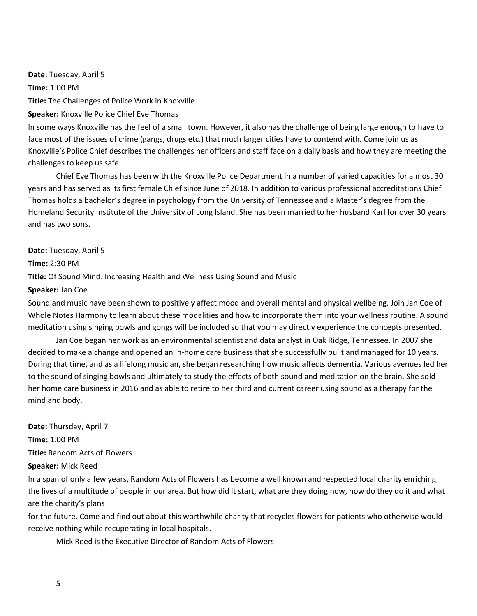**Date:** Tuesday, April 5 **Time:** 1:00 PM **Title:** The Challenges of Police Work in Knoxville **Speaker:** Knoxville Police Chief Eve Thomas

In some ways Knoxville has the feel of a small town. However, it also has the challenge of being large enough to have to face most of the issues of crime (gangs, drugs etc.) that much larger cities have to contend with. Come join us as Knoxville's Police Chief describes the challenges her officers and staff face on a daily basis and how they are meeting the challenges to keep us safe.

Chief Eve Thomas has been with the Knoxville Police Department in a number of varied capacities for almost 30 years and has served as its first female Chief since June of 2018. In addition to various professional accreditations Chief Thomas holds a bachelor's degree in psychology from the University of Tennessee and a Master's degree from the Homeland Security Institute of the University of Long Island. She has been married to her husband Karl for over 30 years and has two sons.

#### **Date:** Tuesday, April 5

**Time:** 2:30 PM

**Title:** Of Sound Mind: Increasing Health and Wellness Using Sound and Music

#### **Speaker:** Jan Coe

Sound and music have been shown to positively affect mood and overall mental and physical wellbeing. Join Jan Coe of Whole Notes Harmony to learn about these modalities and how to incorporate them into your wellness routine. A sound meditation using singing bowls and gongs will be included so that you may directly experience the concepts presented.

Jan Coe began her work as an environmental scientist and data analyst in Oak Ridge, Tennessee. In 2007 she decided to make a change and opened an in-home care business that she successfully built and managed for 10 years. During that time, and as a lifelong musician, she began researching how music affects dementia. Various avenues led her to the sound of singing bowls and ultimately to study the effects of both sound and meditation on the brain. She sold her home care business in 2016 and as able to retire to her third and current career using sound as a therapy for the mind and body.

**Date:** Thursday, April 7 **Time:** 1:00 PM **Title:** Random Acts of Flowers **Speaker:** Mick Reed

In a span of only a few years, Random Acts of Flowers has become a well known and respected local charity enriching the lives of a multitude of people in our area. But how did it start, what are they doing now, how do they do it and what are the charity's plans

for the future. Come and find out about this worthwhile charity that recycles flowers for patients who otherwise would receive nothing while recuperating in local hospitals.

Mick Reed is the Executive Director of Random Acts of Flowers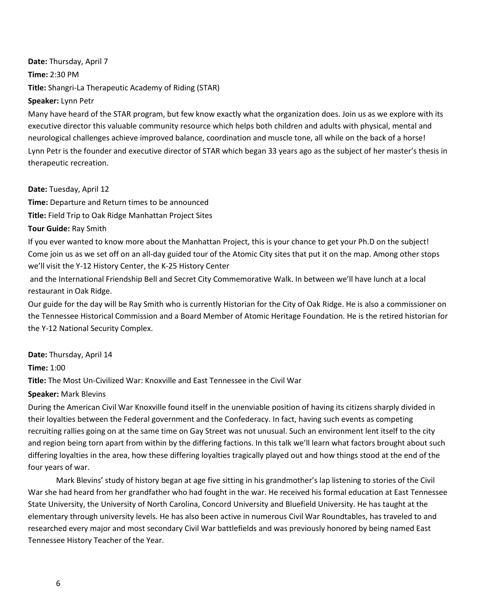**Date:** Thursday, April 7 **Time:** 2:30 PM **Title:** Shangri-La Therapeutic Academy of Riding (STAR) **Speaker:** Lynn Petr

Many have heard of the STAR program, but few know exactly what the organization does. Join us as we explore with its executive director this valuable community resource which helps both children and adults with physical, mental and neurological challenges achieve improved balance, coordination and muscle tone, all while on the back of a horse! Lynn Petr is the founder and executive director of STAR which began 33 years ago as the subject of her master's thesis in therapeutic recreation.

**Date:** Tuesday, April 12

**Time:** Departure and Return times to be announced **Title:** Field Trip to Oak Ridge Manhattan Project Sites

**Tour Guide:** Ray Smith

If you ever wanted to know more about the Manhattan Project, this is your chance to get your Ph.D on the subject! Come join us as we set off on an all-day guided tour of the Atomic City sites that put it on the map. Among other stops we'll visit the Y-12 History Center, the K-25 History Center

and the International Friendship Bell and Secret City Commemorative Walk. In between we'll have lunch at a local restaurant in Oak Ridge.

Our guide for the day will be Ray Smith who is currently Historian for the City of Oak Ridge. He is also a commissioner on the Tennessee Historical Commission and a Board Member of Atomic Heritage Foundation. He is the retired historian for the Y-12 National Security Complex.

**Date:** Thursday, April 14

**Time:** 1:00

**Title:** The Most Un-Civilized War: Knoxville and East Tennessee in the Civil War

**Speaker:** Mark Blevins

During the American Civil War Knoxville found itself in the unenviable position of having its citizens sharply divided in their loyalties between the Federal government and the Confederacy. In fact, having such events as competing recruiting rallies going on at the same time on Gay Street was not unusual. Such an environment lent itself to the city and region being torn apart from within by the differing factions. In this talk we'll learn what factors brought about such differing loyalties in the area, how these differing loyalties tragically played out and how things stood at the end of the four years of war.

Mark Blevins' study of history began at age five sitting in his grandmother's lap listening to stories of the Civil War she had heard from her grandfather who had fought in the war. He received his formal education at East Tennessee State University, the University of North Carolina, Concord University and Bluefield University. He has taught at the elementary through university levels. He has also been active in numerous Civil War Roundtables, has traveled to and researched every major and most secondary Civil War battlefields and was previously honored by being named East Tennessee History Teacher of the Year.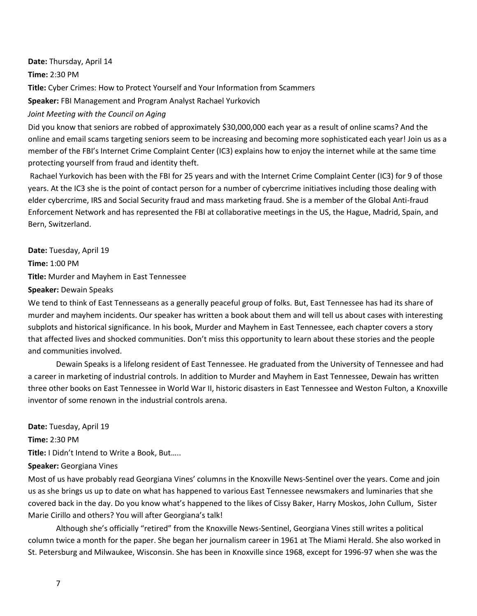**Date:** Thursday, April 14 **Time:** 2:30 PM **Title:** Cyber Crimes: How to Protect Yourself and Your Information from Scammers **Speaker:** FBI Management and Program Analyst Rachael Yurkovich

*Joint Meeting with the Council on Aging*

Did you know that seniors are robbed of approximately \$30,000,000 each year as a result of online scams? And the online and email scams targeting seniors seem to be increasing and becoming more sophisticated each year! Join us as a member of the FBI's Internet Crime Complaint Center (IC3) explains how to enjoy the internet while at the same time protecting yourself from fraud and identity theft.

Rachael Yurkovich has been with the FBI for 25 years and with the Internet Crime Complaint Center (IC3) for 9 of those years. At the IC3 she is the point of contact person for a number of cybercrime initiatives including those dealing with elder cybercrime, IRS and Social Security fraud and mass marketing fraud. She is a member of the Global Anti-fraud Enforcement Network and has represented the FBI at collaborative meetings in the US, the Hague, Madrid, Spain, and Bern, Switzerland.

**Date:** Tuesday, April 19 **Time:** 1:00 PM **Title:** Murder and Mayhem in East Tennessee **Speaker:** Dewain Speaks

We tend to think of East Tennesseans as a generally peaceful group of folks. But, East Tennessee has had its share of murder and mayhem incidents. Our speaker has written a book about them and will tell us about cases with interesting subplots and historical significance. In his book, Murder and Mayhem in East Tennessee, each chapter covers a story that affected lives and shocked communities. Don't miss this opportunity to learn about these stories and the people and communities involved.

Dewain Speaks is a lifelong resident of East Tennessee. He graduated from the University of Tennessee and had a career in marketing of industrial controls. In addition to Murder and Mayhem in East Tennessee, Dewain has written three other books on East Tennessee in World War II, historic disasters in East Tennessee and Weston Fulton, a Knoxville inventor of some renown in the industrial controls arena.

**Date:** Tuesday, April 19 **Time:** 2:30 PM **Title:** I Didn't Intend to Write a Book, But….. **Speaker:** Georgiana Vines

Most of us have probably read Georgiana Vines' columns in the Knoxville News-Sentinel over the years. Come and join us as she brings us up to date on what has happened to various East Tennessee newsmakers and luminaries that she covered back in the day. Do you know what's happened to the likes of Cissy Baker, Harry Moskos, John Cullum, Sister Marie Cirillo and others? You will after Georgiana's talk!

Although she's officially "retired" from the Knoxville News-Sentinel, Georgiana Vines still writes a political column twice a month for the paper. She began her journalism career in 1961 at The Miami Herald. She also worked in St. Petersburg and Milwaukee, Wisconsin. She has been in Knoxville since 1968, except for 1996-97 when she was the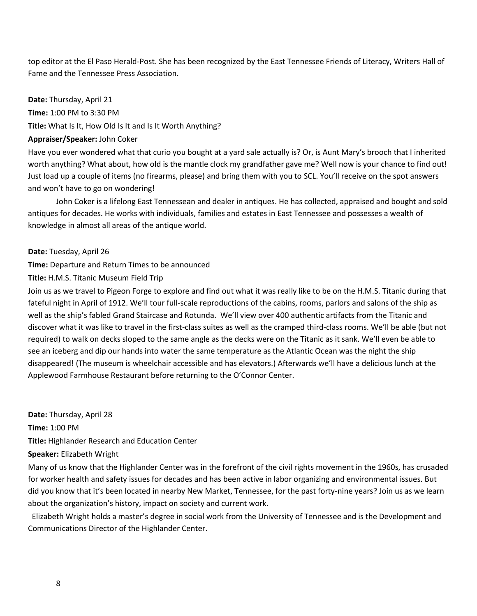top editor at the El Paso Herald-Post. She has been recognized by the East Tennessee Friends of Literacy, Writers Hall of Fame and the Tennessee Press Association.

**Date:** Thursday, April 21 **Time:** 1:00 PM to 3:30 PM **Title:** What Is It, How Old Is It and Is It Worth Anything? **Appraiser/Speaker:** John Coker

Have you ever wondered what that curio you bought at a yard sale actually is? Or, is Aunt Mary's brooch that I inherited worth anything? What about, how old is the mantle clock my grandfather gave me? Well now is your chance to find out! Just load up a couple of items (no firearms, please) and bring them with you to SCL. You'll receive on the spot answers and won't have to go on wondering!

John Coker is a lifelong East Tennessean and dealer in antiques. He has collected, appraised and bought and sold antiques for decades. He works with individuals, families and estates in East Tennessee and possesses a wealth of knowledge in almost all areas of the antique world.

**Date:** Tuesday, April 26

**Time:** Departure and Return Times to be announced

**Title:** H.M.S. Titanic Museum Field Trip

Join us as we travel to Pigeon Forge to explore and find out what it was really like to be on the H.M.S. Titanic during that fateful night in April of 1912. We'll tour full-scale reproductions of the cabins, rooms, parlors and salons of the ship as well as the ship's fabled Grand Staircase and Rotunda. We'll view over 400 authentic artifacts from the Titanic and discover what it was like to travel in the first-class suites as well as the cramped third-class rooms. We'll be able (but not required) to walk on decks sloped to the same angle as the decks were on the Titanic as it sank. We'll even be able to see an iceberg and dip our hands into water the same temperature as the Atlantic Ocean was the night the ship disappeared! (The museum is wheelchair accessible and has elevators.) Afterwards we'll have a delicious lunch at the Applewood Farmhouse Restaurant before returning to the O'Connor Center.

**Date:** Thursday, April 28 **Time:** 1:00 PM **Title:** Highlander Research and Education Center **Speaker:** Elizabeth Wright

Many of us know that the Highlander Center was in the forefront of the civil rights movement in the 1960s, has crusaded for worker health and safety issues for decades and has been active in labor organizing and environmental issues. But did you know that it's been located in nearby New Market, Tennessee, for the past forty-nine years? Join us as we learn about the organization's history, impact on society and current work.

 Elizabeth Wright holds a master's degree in social work from the University of Tennessee and is the Development and Communications Director of the Highlander Center.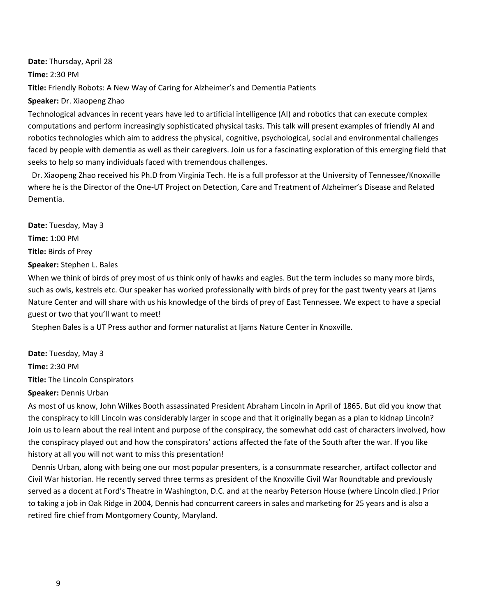**Date:** Thursday, April 28 **Time:** 2:30 PM **Title:** Friendly Robots: A New Way of Caring for Alzheimer's and Dementia Patients **Speaker:** Dr. Xiaopeng Zhao

Technological advances in recent years have led to artificial intelligence (AI) and robotics that can execute complex computations and perform increasingly sophisticated physical tasks. This talk will present examples of friendly AI and robotics technologies which aim to address the physical, cognitive, psychological, social and environmental challenges faced by people with dementia as well as their caregivers. Join us for a fascinating exploration of this emerging field that seeks to help so many individuals faced with tremendous challenges.

 Dr. Xiaopeng Zhao received his Ph.D from Virginia Tech. He is a full professor at the University of Tennessee/Knoxville where he is the Director of the One-UT Project on Detection, Care and Treatment of Alzheimer's Disease and Related Dementia.

**Date:** Tuesday, May 3 **Time:** 1:00 PM **Title:** Birds of Prey **Speaker:** Stephen L. Bales

When we think of birds of prey most of us think only of hawks and eagles. But the term includes so many more birds, such as owls, kestrels etc. Our speaker has worked professionally with birds of prey for the past twenty years at Ijams Nature Center and will share with us his knowledge of the birds of prey of East Tennessee. We expect to have a special guest or two that you'll want to meet!

Stephen Bales is a UT Press author and former naturalist at Ijams Nature Center in Knoxville.

**Date:** Tuesday, May 3 **Time:** 2:30 PM **Title:** The Lincoln Conspirators

**Speaker:** Dennis Urban

As most of us know, John Wilkes Booth assassinated President Abraham Lincoln in April of 1865. But did you know that the conspiracy to kill Lincoln was considerably larger in scope and that it originally began as a plan to kidnap Lincoln? Join us to learn about the real intent and purpose of the conspiracy, the somewhat odd cast of characters involved, how the conspiracy played out and how the conspirators' actions affected the fate of the South after the war. If you like history at all you will not want to miss this presentation!

 Dennis Urban, along with being one our most popular presenters, is a consummate researcher, artifact collector and Civil War historian. He recently served three terms as president of the Knoxville Civil War Roundtable and previously served as a docent at Ford's Theatre in Washington, D.C. and at the nearby Peterson House (where Lincoln died.) Prior to taking a job in Oak Ridge in 2004, Dennis had concurrent careers in sales and marketing for 25 years and is also a retired fire chief from Montgomery County, Maryland.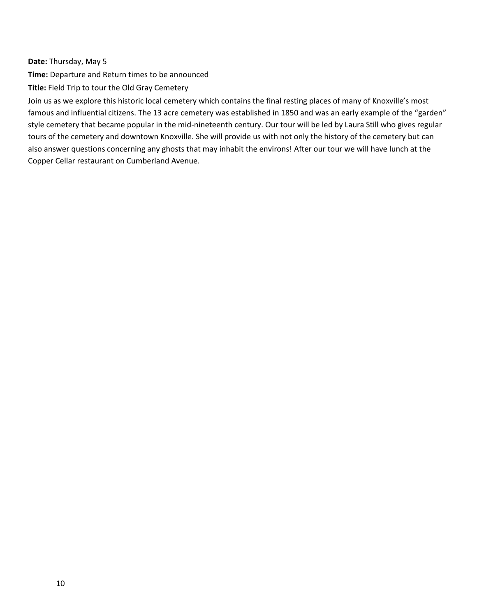**Date:** Thursday, May 5

**Time:** Departure and Return times to be announced

**Title:** Field Trip to tour the Old Gray Cemetery

Join us as we explore this historic local cemetery which contains the final resting places of many of Knoxville's most famous and influential citizens. The 13 acre cemetery was established in 1850 and was an early example of the "garden" style cemetery that became popular in the mid-nineteenth century. Our tour will be led by Laura Still who gives regular tours of the cemetery and downtown Knoxville. She will provide us with not only the history of the cemetery but can also answer questions concerning any ghosts that may inhabit the environs! After our tour we will have lunch at the Copper Cellar restaurant on Cumberland Avenue.